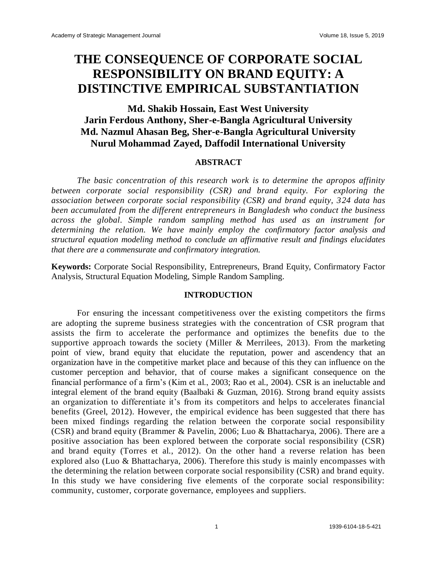# **THE CONSEQUENCE OF CORPORATE SOCIAL RESPONSIBILITY ON BRAND EQUITY: A DISTINCTIVE EMPIRICAL SUBSTANTIATION**

## **Md. Shakib Hossain, East West University Jarin Ferdous Anthony, Sher-e-Bangla Agricultural University Md. Nazmul Ahasan Beg, Sher-e-Bangla Agricultural University Nurul Mohammad Zayed, Daffodil International University**

#### **ABSTRACT**

*The basic concentration of this research work is to determine the apropos affinity between corporate social responsibility (CSR) and brand equity. For exploring the association between corporate social responsibility (CSR) and brand equity, 324 data has been accumulated from the different entrepreneurs in Bangladesh who conduct the business across the global. Simple random sampling method has used as an instrument for determining the relation. We have mainly employ the confirmatory factor analysis and structural equation modeling method to conclude an affirmative result and findings elucidates that there are a commensurate and confirmatory integration.* 

**Keywords:** Corporate Social Responsibility, Entrepreneurs, Brand Equity, Confirmatory Factor Analysis, Structural Equation Modeling, Simple Random Sampling.

#### **INTRODUCTION**

For ensuring the incessant competitiveness over the existing competitors the firms are adopting the supreme business strategies with the concentration of CSR program that assists the firm to accelerate the performance and optimizes the benefits due to the supportive approach towards the society (Miller & Merrilees, 2013). From the marketing point of view, brand equity that elucidate the reputation, power and ascendency that an organization have in the competitive market place and because of this they can influence on the customer perception and behavior, that of course makes a significant consequence on the financial performance of a firm's (Kim et al., 2003; Rao et al., 2004). CSR is an ineluctable and integral element of the brand equity (Baalbaki & Guzman, 2016). Strong brand equity assists an organization to differentiate it's from its competitors and helps to accelerates financial benefits (Greel, 2012). However, the empirical evidence has been suggested that there has been mixed findings regarding the relation between the corporate social responsibility (CSR) and brand equity (Brammer & Pavelin, 2006; Luo & Bhattacharya, 2006). There are a positive association has been explored between the corporate social responsibility (CSR) and brand equity (Torres et al., 2012). On the other hand a reverse relation has been explored also (Luo & Bhattacharya, 2006). Therefore this study is mainly encompasses with the determining the relation between corporate social responsibility (CSR) and brand equity. In this study we have considering five elements of the corporate social responsibility: community, customer, corporate governance, employees and suppliers.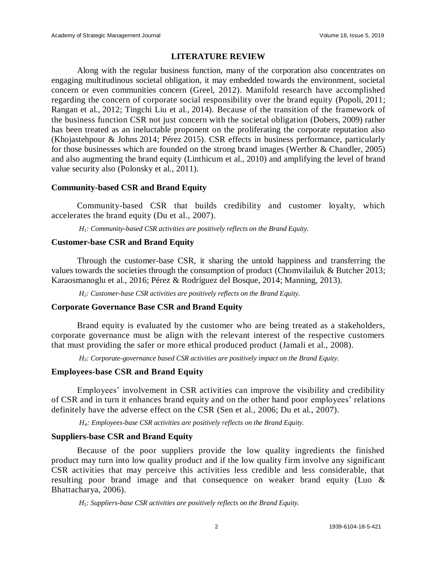#### **LITERATURE REVIEW**

Along with the regular business function, many of the corporation also concentrates on engaging multitudinous societal obligation, it may embedded towards the environment, societal concern or even communities concern (Greel, 2012). Manifold research have accomplished regarding the concern of corporate social responsibility over the brand equity (Popoli, [2011;](https://link.springer.com/article/10.1007/s12208-017-0185-z#CR107) Rangan et al., [2012;](https://link.springer.com/article/10.1007/s12208-017-0185-z#CR110) Tingchi Liu et al., [2014\)](https://link.springer.com/article/10.1007/s12208-017-0185-z#CR120). Because of the transition of the framework of the business function CSR not just concern with the societal obligation (Dobers, [2009\)](https://link.springer.com/article/10.1007/s12208-017-0185-z#CR32) rather has been treated as an ineluctable proponent on the proliferating the corporate reputation also (Khojastehpour & Johns [2014;](https://link.springer.com/article/10.1007/s12208-017-0185-z#CR59) Pérez [2015\)](https://link.springer.com/article/10.1007/s12208-017-0185-z#CR101). CSR effects in business performance, particularly for those businesses which are founded on the strong brand images (Werther & Chandler, [2005\)](https://link.springer.com/article/10.1007/s12208-017-0185-z#CR131) and also augmenting the brand equity (Linthicum et al., [2010\)](https://link.springer.com/article/10.1007/s12208-017-0185-z#CR76) and amplifying the level of brand value security also (Polonsky et al., [2011\)](https://link.springer.com/article/10.1007/s12208-017-0185-z#CR106).

#### **Community-based CSR and Brand Equity**

Community-based CSR that builds credibility and customer loyalty, which accelerates the brand equity (Du et al., 2007).

*H1: Community-based CSR activities are positively reflects on the Brand Equity.*

#### **Customer-base CSR and Brand Equity**

Through the customer-base CSR, it sharing the untold happiness and transferring the values towards the societies through the consumption of product (Chomvilailuk & Butcher [2013;](https://link.springer.com/article/10.1007/s12208-017-0185-z#CR27) Karaosmanoglu et al., [2016;](https://link.springer.com/article/10.1007/s12208-017-0185-z#CR56) Pérez & Rodríguez del Bosque, [2014;](https://link.springer.com/article/10.1007/s12208-017-0185-z#CR103) Manning, [2013\)](https://link.springer.com/article/10.1007/s12208-017-0185-z#CR81).

*H2: Customer-base CSR activities are positively reflects on the Brand Equity.*

### **Corporate Governance Base CSR and Brand Equity**

Brand equity is evaluated by the customer who are being treated as a stakeholders, corporate governance must be align with the relevant interest of the respective customers that must providing the safer or more ethical produced product (Jamali et al., 2008).

*H3: Corporate-governance based CSR activities are positively impact on the Brand Equity.*

### **Employees-base CSR and Brand Equity**

Employees' involvement in CSR activities can improve the visibility and credibility of CSR and in turn it enhances brand equity and on the other hand poor employees' relations definitely have the adverse effect on the CSR (Sen et al., 2006; Du et al., 2007).

*H4: Employees-base CSR activities are positively reflects on the Brand Equity.*

### **Suppliers-base CSR and Brand Equity**

Because of the poor suppliers provide the low quality ingredients the finished product may turn into low quality product and if the low quality firm involve any significant CSR activities that may perceive this activities less credible and less considerable, that resulting poor brand image and that consequence on weaker brand equity (Luo & Bhattacharya, 2006).

*H5: Suppliers-base CSR activities are positively reflects on the Brand Equity.*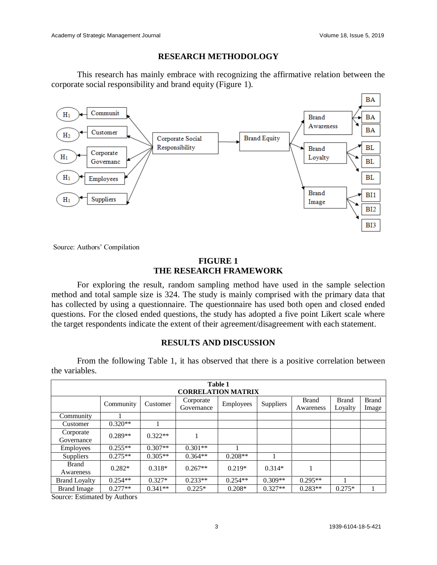## **RESEARCH METHODOLOGY**

This research has mainly embrace with recognizing the affirmative relation between the corporate social responsibility and brand equity (Figure 1).



Source: Authors' Compilation

## **FIGURE 1 THE RESEARCH FRAMEWORK**

For exploring the result, random sampling method have used in the sample selection method and total sample size is 324. The study is mainly comprised with the primary data that has collected by using a questionnaire. The questionnaire has used both open and closed ended questions. For the closed ended questions, the study has adopted a five point Likert scale where the target respondents indicate the extent of their agreement/disagreement with each statement.

## **RESULTS AND DISCUSSION**

From the following Table 1, it has observed that there is a positive correlation between the variables.

| Table 1<br><b>CORRELATION MATRIX</b> |           |           |                         |           |                  |                           |                         |                       |  |  |
|--------------------------------------|-----------|-----------|-------------------------|-----------|------------------|---------------------------|-------------------------|-----------------------|--|--|
|                                      | Community | Customer  | Corporate<br>Governance | Employees | <b>Suppliers</b> | <b>Brand</b><br>Awareness | <b>Brand</b><br>Loyalty | <b>Brand</b><br>Image |  |  |
| Community                            |           |           |                         |           |                  |                           |                         |                       |  |  |
| Customer                             | $0.320**$ |           |                         |           |                  |                           |                         |                       |  |  |
| Corporate<br>Governance              | $0.289**$ | $0.322**$ |                         |           |                  |                           |                         |                       |  |  |
| <b>Employees</b>                     | $0.255**$ | $0.307**$ | $0.301**$               |           |                  |                           |                         |                       |  |  |
| Suppliers                            | $0.275**$ | $0.305**$ | $0.364**$               | $0.208**$ |                  |                           |                         |                       |  |  |
| Brand<br>Awareness                   | $0.282*$  | $0.318*$  | $0.267**$               | $0.219*$  | $0.314*$         |                           |                         |                       |  |  |
| <b>Brand Loyalty</b>                 | $0.254**$ | $0.327*$  | $0.233**$               | $0.254**$ | $0.309**$        | $0.295**$                 |                         |                       |  |  |
| <b>Brand Image</b>                   | $0.277**$ | $0.341**$ | $0.225*$                | $0.208*$  | $0.327**$        | $0.283**$                 | $0.275*$                |                       |  |  |

Source: Estimated by Authors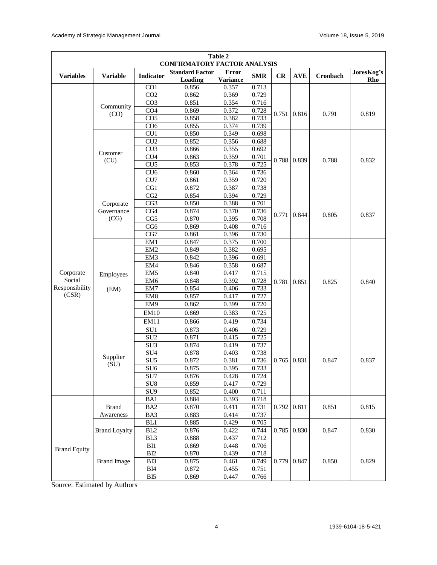| Table 2<br><b>CONFIRMATORY FACTOR ANALYSIS</b> |                      |                  |                                   |                                 |            |       |                    |          |                   |  |
|------------------------------------------------|----------------------|------------------|-----------------------------------|---------------------------------|------------|-------|--------------------|----------|-------------------|--|
| <b>Variables</b>                               | <b>Variable</b>      | Indicator        | <b>Standard Factor</b><br>Loading | <b>Error</b><br><b>Variance</b> | <b>SMR</b> | CR    | <b>AVE</b>         | Cronbach | JoresKog's<br>Rho |  |
|                                                |                      | $\overline{CO1}$ | 0.856                             | 0.357                           | 0.713      |       |                    |          |                   |  |
|                                                | Community<br>(CO)    | CO <sub>2</sub>  | 0.862                             | 0.369                           | 0.729      |       |                    | 0.791    | 0.819             |  |
|                                                |                      | CO <sub>3</sub>  | 0.851                             | 0.354                           | 0.716      |       |                    |          |                   |  |
|                                                |                      | CO <sub>4</sub>  | 0.869                             | 0.372                           | 0.728      |       | 0.751 0.816        |          |                   |  |
|                                                |                      | CO <sub>5</sub>  | 0.858                             | 0.382                           | 0.733      |       |                    |          |                   |  |
|                                                |                      | CO <sub>6</sub>  | 0.855                             | 0.374                           | 0.739      |       |                    |          |                   |  |
|                                                | Customer<br>(CU)     | CU1              | 0.850                             | 0.349                           | 0.698      |       | 0.788 0.839        | 0.788    | 0.832             |  |
|                                                |                      | CU <sub>2</sub>  | 0.852                             | 0.356                           | 0.688      |       |                    |          |                   |  |
|                                                |                      | CU <sub>3</sub>  | 0.866                             | 0.355                           | 0.692      |       |                    |          |                   |  |
|                                                |                      | CU <sub>4</sub>  | 0.863                             | 0.359                           | 0.701      |       |                    |          |                   |  |
|                                                |                      | CU <sub>5</sub>  | 0.853                             | 0.378                           | 0.725      |       |                    |          |                   |  |
|                                                |                      | CU <sub>6</sub>  | 0.860                             | 0.364                           | 0.736      |       |                    |          |                   |  |
|                                                |                      | CU7              | 0.861                             | 0.359                           | 0.720      |       |                    |          |                   |  |
|                                                |                      | CG1              | 0.872                             | 0.387                           | 0.738      |       | 0.844              | 0.805    | 0.837             |  |
|                                                |                      | CG2              | 0.854                             | 0.394                           | 0.729      |       |                    |          |                   |  |
|                                                | Corporate            | CG <sub>3</sub>  | 0.850                             | 0.388                           | 0.701      |       |                    |          |                   |  |
|                                                | Governance<br>(CG)   | $\overline{CG4}$ | 0.874                             | 0.370                           | 0.736      | 0.771 |                    |          |                   |  |
|                                                |                      | CG5              | 0.870                             | 0.395                           | 0.708      |       |                    |          |                   |  |
|                                                |                      | CG6              | 0.869                             | 0.408                           | 0.716      |       |                    |          |                   |  |
|                                                |                      | CG7              | 0.861                             | 0.396                           | 0.730      |       |                    |          |                   |  |
|                                                | Employees<br>(EM)    | EM <sub>1</sub>  | 0.847                             | 0.375                           | 0.700      | 0.781 | 0.851              | 0.825    | 0.840             |  |
|                                                |                      | EM <sub>2</sub>  | 0.849                             | 0.382                           | 0.695      |       |                    |          |                   |  |
|                                                |                      | EM3              | 0.842                             | 0.396                           | 0.691      |       |                    |          |                   |  |
|                                                |                      | EM4              | 0.846                             | 0.358                           | 0.687      |       |                    |          |                   |  |
| Corporate                                      |                      | EM <sub>5</sub>  | 0.840                             | 0.417                           | 0.715      |       |                    |          |                   |  |
| Social                                         |                      | EM <sub>6</sub>  | 0.848                             | 0.392                           | 0.728      |       |                    |          |                   |  |
| Responsibility<br>(CSR)                        |                      | EM7              | 0.854                             | 0.406                           | 0.733      |       |                    |          |                   |  |
|                                                |                      | EM <sub>8</sub>  | 0.857                             | 0.417                           | 0.727      |       |                    |          |                   |  |
|                                                |                      | EM <sub>9</sub>  | 0.862                             | 0.399                           | 0.720      |       |                    |          |                   |  |
|                                                |                      | <b>EM10</b>      | 0.869                             | 0.383                           | 0.725      |       |                    |          |                   |  |
|                                                |                      | EM11             | 0.866                             | 0.419                           | 0.734      |       |                    |          |                   |  |
|                                                | Supplier<br>(SU)     | SU1              | 0.873                             | 0.406                           | 0.729      | 0.765 | 0.831              | 0.847    |                   |  |
|                                                |                      | SU <sub>2</sub>  | 0.871                             | 0.415                           | 0.725      |       |                    |          |                   |  |
|                                                |                      | SU <sub>3</sub>  | 0.874                             | 0.419                           | 0.737      |       |                    |          |                   |  |
|                                                |                      | SU <sub>4</sub>  | 0.878                             | 0.403                           | 0.738      |       |                    |          |                   |  |
|                                                |                      | SU <sub>5</sub>  | 0.872                             | 0.381                           | 0.736      |       |                    |          | 0.837             |  |
|                                                |                      | $\overline{SU6}$ | 0.875                             | 0.395                           | 0.733      |       |                    |          |                   |  |
|                                                |                      | SU7              | 0.876                             | 0.428                           | 0.724      |       |                    |          |                   |  |
|                                                |                      | $\overline{SU8}$ | 0.859                             | 0.417                           | 0.729      |       |                    |          |                   |  |
|                                                |                      | SU <sub>9</sub>  | 0.852                             | 0.400                           | 0.711      |       |                    |          |                   |  |
|                                                |                      | BA1              | 0.884                             | 0.393                           | 0.718      |       | $0.792 \mid 0.811$ | 0.851    |                   |  |
|                                                | <b>Brand</b>         | BA <sub>2</sub>  | 0.870                             | 0.411                           | 0.731      |       |                    |          | 0.815             |  |
|                                                | Awareness            | BA3              | 0.883                             | 0.414                           | 0.737      |       |                    |          |                   |  |
|                                                | <b>Brand Loyalty</b> | BL1              | 0.885                             | 0.429                           | 0.705      |       |                    | 0.847    |                   |  |
|                                                |                      | BL <sub>2</sub>  | 0.876                             | 0.422                           | 0.744      | 0.785 | 0.830              |          | 0.830             |  |
|                                                |                      | BL <sub>3</sub>  | 0.888                             | 0.437                           | 0.712      |       |                    |          |                   |  |
| <b>Brand Equity</b>                            |                      | BI1              | 0.869                             | 0.448                           | 0.706      |       |                    |          | 0.829             |  |
|                                                |                      | BI <sub>2</sub>  | 0.870                             | 0.439                           | 0.718      |       |                    |          |                   |  |
|                                                | <b>Brand Image</b>   | BI3              | 0.875                             | 0.461                           | 0.749      |       | $0.779$ 0.847      | 0.850    |                   |  |
|                                                |                      | ${\bf B}I4$      | 0.872                             | 0.455                           | 0.751      |       |                    |          |                   |  |
|                                                |                      | BI <sub>5</sub>  | 0.869                             | 0.447                           | 0.766      |       |                    |          |                   |  |

Source: Estimated by Authors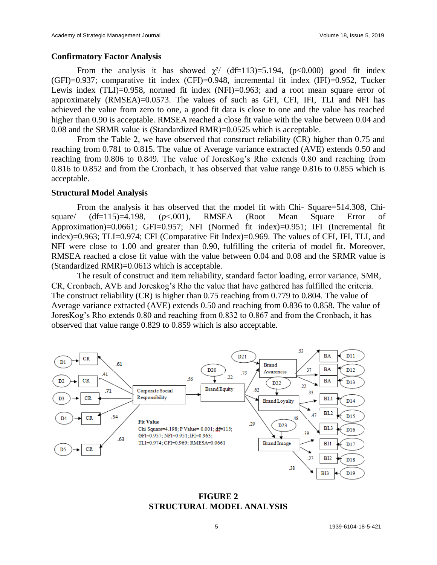#### **Confirmatory Factor Analysis**

From the analysis it has showed  $\chi^2$ / (df=113)=5.194, (p<0.000) good fit index (GFI)=0.937; comparative fit index (CFI)=0.948, incremental fit index (IFI)=0.952, Tucker Lewis index (TLI)=0.958, normed fit index (NFI)=0.963; and a root mean square error of approximately (RMSEA)=0.0573. The values of such as GFI, CFI, IFI, TLI and NFI has achieved the value from zero to one, a good fit data is close to one and the value has reached higher than 0.90 is acceptable. RMSEA reached a close fit value with the value between 0.04 and 0.08 and the SRMR value is (Standardized RMR)=0.0525 which is acceptable.

From the Table 2, we have observed that construct reliability (CR) higher than 0.75 and reaching from 0.781 to 0.815. The value of Average variance extracted (AVE) extends 0.50 and reaching from 0.806 to 0.849. The value of JoresKog's Rho extends 0.80 and reaching from 0.816 to 0.852 and from the Cronbach, it has observed that value range 0.816 to 0.855 which is acceptable.

#### **Structural Model Analysis**

From the analysis it has observed that the model fit with Chi- Square=514.308, Chisquare/ (df=115)=4.198, (*p*<.001), RMSEA (Root Mean Square Error of Approximation)=0.0661; GFI=0.957; NFI (Normed fit index)=0.951; IFI (Incremental fit index)=0.963; TLI=0.974; CFI (Comparative Fit Index)=0.969. The values of CFI, IFI, TLI, and NFI were close to 1.00 and greater than 0.90, fulfilling the criteria of model fit. Moreover, RMSEA reached a close fit value with the value between 0.04 and 0.08 and the SRMR value is (Standardized RMR)=0.0613 which is acceptable.

The result of construct and item reliability, standard factor loading, error variance, SMR, CR, Cronbach, AVE and Joreskog's Rho the value that have gathered has fulfilled the criteria. The construct reliability (CR) is higher than 0.75 reaching from 0.779 to 0.804. The value of Average variance extracted (AVE) extends 0.50 and reaching from 0.836 to 0.858. The value of JoresKog's Rho extends 0.80 and reaching from 0.832 to 0.867 and from the Cronbach, it has observed that value range 0.829 to 0.859 which is also acceptable.



**FIGURE 2 STRUCTURAL MODEL ANALYSIS**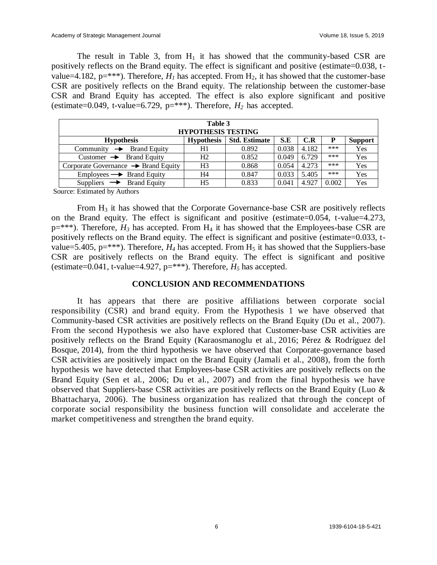The result in Table 3, from  $H_1$  it has showed that the community-based CSR are positively reflects on the Brand equity. The effect is significant and positive (estimate=0.038, tvalue=4.182,  $p=***$ ). Therefore,  $H<sub>I</sub>$  has accepted. From  $H<sub>2</sub>$ , it has showed that the customer-base CSR are positively reflects on the Brand equity. The relationship between the customer-base CSR and Brand Equity has accepted. The effect is also explore significant and positive (estimate=0.049, t-value=6.729,  $p=***$ ). Therefore,  $H_2$  has accepted.

| Table 3<br><b>HYPOTHESIS TESTING</b>            |                   |                      |       |       |       |                |  |  |  |
|-------------------------------------------------|-------------------|----------------------|-------|-------|-------|----------------|--|--|--|
| <b>Hypothesis</b>                               | <b>Hypothesis</b> | <b>Std. Estimate</b> | S.E   | C.R   | P     | <b>Support</b> |  |  |  |
| Community $\rightarrow$ Brand Equity            | H1                | 0.892                | 0.038 | 4.182 | ***   | Yes            |  |  |  |
| Customer $\rightarrow$ Brand Equity             | H <sub>2</sub>    | 0.852                | 0.049 | 6.729 | ***   | Yes            |  |  |  |
| Corporate Governance $\rightarrow$ Brand Equity | H <sub>3</sub>    | 0.868                | 0.054 | 4.273 | ***   | Yes            |  |  |  |
| $Employes \rightarrow \text{Brand Equity}$      | Η4                | 0.847                | 0.033 | 5.405 | ***   | Yes            |  |  |  |
| Suppliers $\rightarrow$ Brand Equity            | H <sub>5</sub>    | 0.833                | 0.041 | 4.927 | 0.002 | Yes            |  |  |  |

Source: Estimated by Authors

From H<sup>3</sup> it has showed that the Corporate Governance-base CSR are positively reflects on the Brand equity. The effect is significant and positive (estimate=0.054, t-value=4.273,  $p=***$ ). Therefore,  $H_3$  has accepted. From  $H_4$  it has showed that the Employees-base CSR are positively reflects on the Brand equity. The effect is significant and positive (estimate=0.033, tvalue=5.405,  $p=***$ ). Therefore,  $H_4$  has accepted. From  $H_5$  it has showed that the Suppliers-base CSR are positively reflects on the Brand equity. The effect is significant and positive (estimate=0.041, t-value=4.927,  $p=***$ ). Therefore,  $H_5$  has accepted.

#### **CONCLUSION AND RECOMMENDATIONS**

It has appears that there are positive affiliations between corporate social responsibility (CSR) and brand equity. From the Hypothesis 1 we have observed that Community-based CSR activities are positively reflects on the Brand Equity (Du et al., 2007). From the second Hypothesis we also have explored that Customer-base CSR activities are positively reflects on the Brand Equity (Karaosmanoglu et al., [2016;](https://link.springer.com/article/10.1007/s12208-017-0185-z#CR56) Pérez & Rodríguez del Bosque, [2014\)](https://link.springer.com/article/10.1007/s12208-017-0185-z#CR103), from the third hypothesis we have observed that Corporate-governance based CSR activities are positively impact on the Brand Equity (Jamali et al., 2008), from the forth hypothesis we have detected that Employees-base CSR activities are positively reflects on the Brand Equity (Sen et al., 2006; Du et al., 2007) and from the final hypothesis we have observed that Suppliers-base CSR activities are positively reflects on the Brand Equity (Luo & Bhattacharya, 2006). The business organization has realized that through the concept of corporate social responsibility the business function will consolidate and accelerate the market competitiveness and strengthen the brand equity.